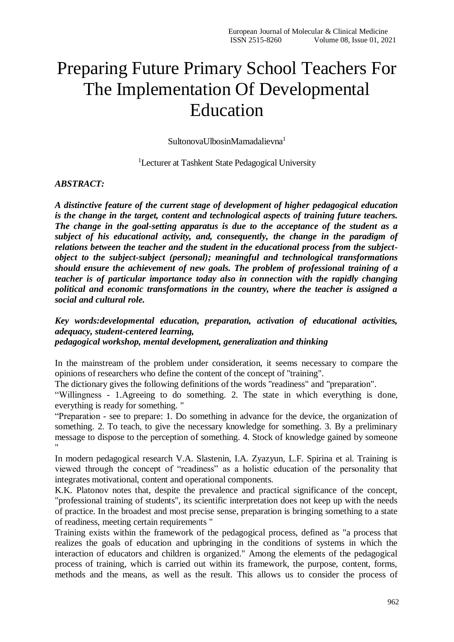## Preparing Future Primary School Teachers For The Implementation Of Developmental Education

SultonovaUlbosinMamadalievna<sup>1</sup>

<sup>1</sup>Lecturer at Tashkent State Pedagogical University

## *ABSTRACT:*

*A distinctive feature of the current stage of development of higher pedagogical education is the change in the target, content and technological aspects of training future teachers. The change in the goal-setting apparatus is due to the acceptance of the student as a subject of his educational activity, and, consequently, the change in the paradigm of relations between the teacher and the student in the educational process from the subjectobject to the subject-subject (personal); meaningful and technological transformations should ensure the achievement of new goals. The problem of professional training of a teacher is of particular importance today also in connection with the rapidly changing political and economic transformations in the country, where the teacher is assigned a social and cultural role.*

*Key words:developmental education, preparation, activation of educational activities, adequacy, student-centered learning,*

*pedagogical workshop, mental development, generalization and thinking*

In the mainstream of the problem under consideration, it seems necessary to compare the opinions of researchers who define the content of the concept of "training".

The dictionary gives the following definitions of the words "readiness" and "preparation".

"Willingness - 1.Agreeing to do something. 2. The state in which everything is done, everything is ready for something. "

"Preparation - see to prepare: 1. Do something in advance for the device, the organization of something. 2. To teach, to give the necessary knowledge for something. 3. By a preliminary message to dispose to the perception of something. 4. Stock of knowledge gained by someone "

In modern pedagogical research V.A. Slastenin, I.A. Zyazyun, L.F. Spirina et al. Training is viewed through the concept of "readiness" as a holistic education of the personality that integrates motivational, content and operational components.

K.K. Platonov notes that, despite the prevalence and practical significance of the concept, "professional training of students", its scientific interpretation does not keep up with the needs of practice. In the broadest and most precise sense, preparation is bringing something to a state of readiness, meeting certain requirements "

Training exists within the framework of the pedagogical process, defined as "a process that realizes the goals of education and upbringing in the conditions of systems in which the interaction of educators and children is organized." Among the elements of the pedagogical process of training, which is carried out within its framework, the purpose, content, forms, methods and the means, as well as the result. This allows us to consider the process of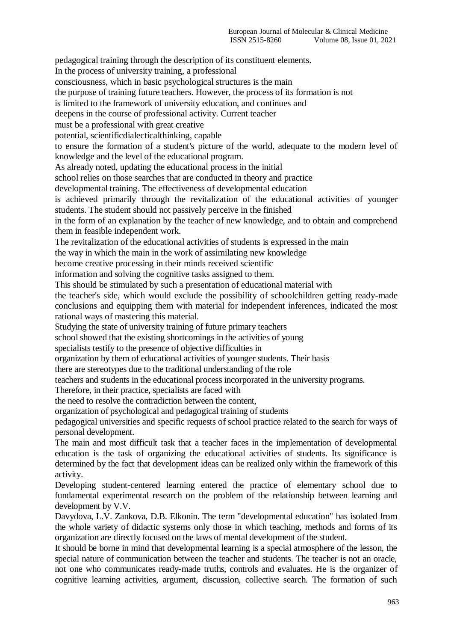pedagogical training through the description of its constituent elements. In the process of university training, a professional consciousness, which in basic psychological structures is the main the purpose of training future teachers. However, the process of its formation is not is limited to the framework of university education, and continues and deepens in the course of professional activity. Current teacher must be a professional with great creative potential, scientificdialecticalthinking, capable to ensure the formation of a student's picture of the world, adequate to the modern level of knowledge and the level of the educational program. As already noted, updating the educational process in the initial school relies on those searches that are conducted in theory and practice developmental training. The effectiveness of developmental education is achieved primarily through the revitalization of the educational activities of younger students. The student should not passively perceive in the finished in the form of an explanation by the teacher of new knowledge, and to obtain and comprehend them in feasible independent work. The revitalization of the educational activities of students is expressed in the main the way in which the main in the work of assimilating new knowledge become creative processing in their minds received scientific information and solving the cognitive tasks assigned to them. This should be stimulated by such a presentation of educational material with the teacher's side, which would exclude the possibility of schoolchildren getting ready-made conclusions and equipping them with material for independent inferences, indicated the most rational ways of mastering this material. Studying the state of university training of future primary teachers school showed that the existing shortcomings in the activities of young specialists testify to the presence of objective difficulties in organization by them of educational activities of younger students. Their basis there are stereotypes due to the traditional understanding of the role teachers and students in the educational process incorporated in the university programs. Therefore, in their practice, specialists are faced with the need to resolve the contradiction between the content, organization of psychological and pedagogical training of students pedagogical universities and specific requests of school practice related to the search for ways of personal development. The main and most difficult task that a teacher faces in the implementation of developmental education is the task of organizing the educational activities of students. Its significance is determined by the fact that development ideas can be realized only within the framework of this activity. Developing student-centered learning entered the practice of elementary school due to fundamental experimental research on the problem of the relationship between learning and development by V.V. Davydova, L.V. Zankova, D.B. Elkonin. The term "developmental education" has isolated from

the whole variety of didactic systems only those in which teaching, methods and forms of its organization are directly focused on the laws of mental development of the student.

It should be borne in mind that developmental learning is a special atmosphere of the lesson, the special nature of communication between the teacher and students. The teacher is not an oracle, not one who communicates ready-made truths, controls and evaluates. He is the organizer of cognitive learning activities, argument, discussion, collective search. The formation of such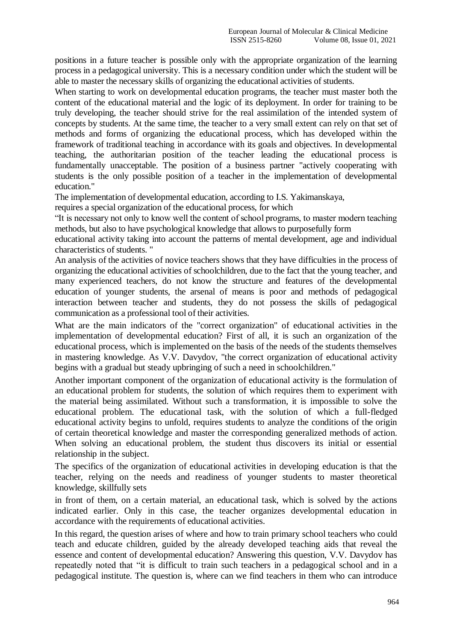positions in a future teacher is possible only with the appropriate organization of the learning process in a pedagogical university. This is a necessary condition under which the student will be able to master the necessary skills of organizing the educational activities of students.

When starting to work on developmental education programs, the teacher must master both the content of the educational material and the logic of its deployment. In order for training to be truly developing, the teacher should strive for the real assimilation of the intended system of concepts by students. At the same time, the teacher to a very small extent can rely on that set of methods and forms of organizing the educational process, which has developed within the framework of traditional teaching in accordance with its goals and objectives. In developmental teaching, the authoritarian position of the teacher leading the educational process is fundamentally unacceptable. The position of a business partner "actively cooperating with students is the only possible position of a teacher in the implementation of developmental education."

The implementation of developmental education, according to I.S. Yakimanskaya,

requires a special organization of the educational process, for which

"It is necessary not only to know well the content of school programs, to master modern teaching methods, but also to have psychological knowledge that allows to purposefully form

educational activity taking into account the patterns of mental development, age and individual characteristics of students. "

An analysis of the activities of novice teachers shows that they have difficulties in the process of organizing the educational activities of schoolchildren, due to the fact that the young teacher, and many experienced teachers, do not know the structure and features of the developmental education of younger students, the arsenal of means is poor and methods of pedagogical interaction between teacher and students, they do not possess the skills of pedagogical communication as a professional tool of their activities.

What are the main indicators of the "correct organization" of educational activities in the implementation of developmental education? First of all, it is such an organization of the educational process, which is implemented on the basis of the needs of the students themselves in mastering knowledge. As V.V. Davydov, "the correct organization of educational activity begins with a gradual but steady upbringing of such a need in schoolchildren."

Another important component of the organization of educational activity is the formulation of an educational problem for students, the solution of which requires them to experiment with the material being assimilated. Without such a transformation, it is impossible to solve the educational problem. The educational task, with the solution of which a full-fledged educational activity begins to unfold, requires students to analyze the conditions of the origin of certain theoretical knowledge and master the corresponding generalized methods of action. When solving an educational problem, the student thus discovers its initial or essential relationship in the subject.

The specifics of the organization of educational activities in developing education is that the teacher, relying on the needs and readiness of younger students to master theoretical knowledge, skillfully sets

in front of them, on a certain material, an educational task, which is solved by the actions indicated earlier. Only in this case, the teacher organizes developmental education in accordance with the requirements of educational activities.

In this regard, the question arises of where and how to train primary school teachers who could teach and educate children, guided by the already developed teaching aids that reveal the essence and content of developmental education? Answering this question, V.V. Davydov has repeatedly noted that "it is difficult to train such teachers in a pedagogical school and in a pedagogical institute. The question is, where can we find teachers in them who can introduce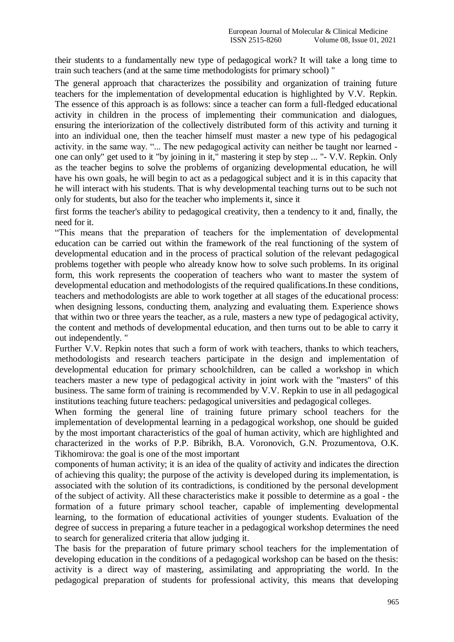their students to a fundamentally new type of pedagogical work? It will take a long time to train such teachers (and at the same time methodologists for primary school) "

The general approach that characterizes the possibility and organization of training future teachers for the implementation of developmental education is highlighted by V.V. Repkin. The essence of this approach is as follows: since a teacher can form a full-fledged educational activity in children in the process of implementing their communication and dialogues, ensuring the interiorization of the collectively distributed form of this activity and turning it into an individual one, then the teacher himself must master a new type of his pedagogical activity. in the same way. "... The new pedagogical activity can neither be taught nor learned one can only" get used to it "by joining in it," mastering it step by step ... "- V.V. Repkin. Only as the teacher begins to solve the problems of organizing developmental education, he will have his own goals, he will begin to act as a pedagogical subject and it is in this capacity that he will interact with his students. That is why developmental teaching turns out to be such not only for students, but also for the teacher who implements it, since it

first forms the teacher's ability to pedagogical creativity, then a tendency to it and, finally, the need for it.

"This means that the preparation of teachers for the implementation of developmental education can be carried out within the framework of the real functioning of the system of developmental education and in the process of practical solution of the relevant pedagogical problems together with people who already know how to solve such problems. In its original form, this work represents the cooperation of teachers who want to master the system of developmental education and methodologists of the required qualifications.In these conditions, teachers and methodologists are able to work together at all stages of the educational process: when designing lessons, conducting them, analyzing and evaluating them. Experience shows that within two or three years the teacher, as a rule, masters a new type of pedagogical activity, the content and methods of developmental education, and then turns out to be able to carry it out independently. "

Further V.V. Repkin notes that such a form of work with teachers, thanks to which teachers, methodologists and research teachers participate in the design and implementation of developmental education for primary schoolchildren, can be called a workshop in which teachers master a new type of pedagogical activity in joint work with the "masters" of this business. The same form of training is recommended by V.V. Repkin to use in all pedagogical institutions teaching future teachers: pedagogical universities and pedagogical colleges.

When forming the general line of training future primary school teachers for the implementation of developmental learning in a pedagogical workshop, one should be guided by the most important characteristics of the goal of human activity, which are highlighted and characterized in the works of P.P. Bibrikh, B.A. Voronovich, G.N. Prozumentova, O.K. Tikhomirova: the goal is one of the most important

components of human activity; it is an idea of the quality of activity and indicates the direction of achieving this quality; the purpose of the activity is developed during its implementation, is associated with the solution of its contradictions, is conditioned by the personal development of the subject of activity. All these characteristics make it possible to determine as a goal - the formation of a future primary school teacher, capable of implementing developmental learning, to the formation of educational activities of younger students. Evaluation of the degree of success in preparing a future teacher in a pedagogical workshop determines the need to search for generalized criteria that allow judging it.

The basis for the preparation of future primary school teachers for the implementation of developing education in the conditions of a pedagogical workshop can be based on the thesis: activity is a direct way of mastering, assimilating and appropriating the world. In the pedagogical preparation of students for professional activity, this means that developing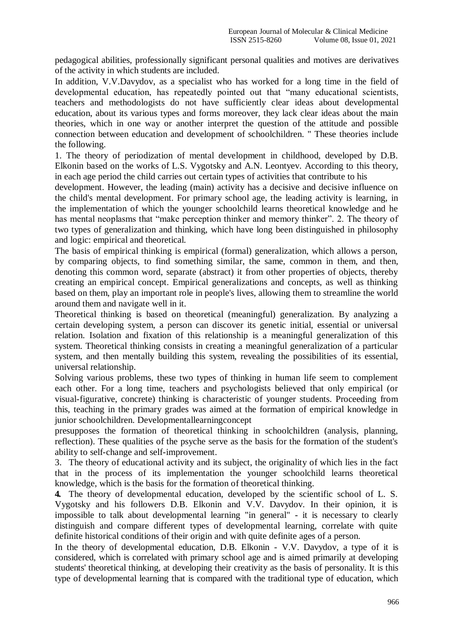pedagogical abilities, professionally significant personal qualities and motives are derivatives of the activity in which students are included.

In addition, V.V.Davydov, as a specialist who has worked for a long time in the field of developmental education, has repeatedly pointed out that "many educational scientists, teachers and methodologists do not have sufficiently clear ideas about developmental education, about its various types and forms moreover, they lack clear ideas about the main theories, which in one way or another interpret the question of the attitude and possible connection between education and development of schoolchildren. " These theories include the following.

1. The theory of periodization of mental development in childhood, developed by D.B. Elkonin based on the works of L.S. Vygotsky and A.N. Leontyev. According to this theory, in each age period the child carries out certain types of activities that contribute to his

development. However, the leading (main) activity has a decisive and decisive influence on the child's mental development. For primary school age, the leading activity is learning, in the implementation of which the younger schoolchild learns theoretical knowledge and he has mental neoplasms that "make perception thinker and memory thinker". 2. The theory of two types of generalization and thinking, which have long been distinguished in philosophy and logic: empirical and theoretical.

The basis of empirical thinking is empirical (formal) generalization, which allows a person, by comparing objects, to find something similar, the same, common in them, and then, denoting this common word, separate (abstract) it from other properties of objects, thereby creating an empirical concept. Empirical generalizations and concepts, as well as thinking based on them, play an important role in people's lives, allowing them to streamline the world around them and navigate well in it.

Theoretical thinking is based on theoretical (meaningful) generalization. By analyzing a certain developing system, a person can discover its genetic initial, essential or universal relation. Isolation and fixation of this relationship is a meaningful generalization of this system. Theoretical thinking consists in creating a meaningful generalization of a particular system, and then mentally building this system, revealing the possibilities of its essential, universal relationship.

Solving various problems, these two types of thinking in human life seem to complement each other. For a long time, teachers and psychologists believed that only empirical (or visual-figurative, concrete) thinking is characteristic of younger students. Proceeding from this, teaching in the primary grades was aimed at the formation of empirical knowledge in junior schoolchildren. Developmentallearningconcept

presupposes the formation of theoretical thinking in schoolchildren (analysis, planning, reflection). These qualities of the psyche serve as the basis for the formation of the student's ability to self-change and self-improvement.

3. The theory of educational activity and its subject, the originality of which lies in the fact that in the process of its implementation the younger schoolchild learns theoretical knowledge, which is the basis for the formation of theoretical thinking.

**4.** The theory of developmental education, developed by the scientific school of L. S. Vygotsky and his followers D.B. Elkonin and V.V. Davydov. In their opinion, it is impossible to talk about developmental learning "in general" - it is necessary to clearly distinguish and compare different types of developmental learning, correlate with quite definite historical conditions of their origin and with quite definite ages of a person.

In the theory of developmental education, D.B. Elkonin - V.V. Davydov, a type of it is considered, which is correlated with primary school age and is aimed primarily at developing students' theoretical thinking, at developing their creativity as the basis of personality. It is this type of developmental learning that is compared with the traditional type of education, which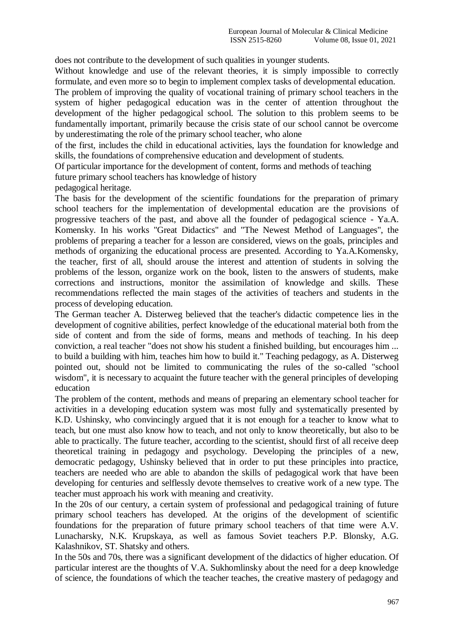does not contribute to the development of such qualities in younger students.

Without knowledge and use of the relevant theories, it is simply impossible to correctly formulate, and even more so to begin to implement complex tasks of developmental education.

The problem of improving the quality of vocational training of primary school teachers in the system of higher pedagogical education was in the center of attention throughout the development of the higher pedagogical school. The solution to this problem seems to be fundamentally important, primarily because the crisis state of our school cannot be overcome by underestimating the role of the primary school teacher, who alone

of the first, includes the child in educational activities, lays the foundation for knowledge and skills, the foundations of comprehensive education and development of students.

Of particular importance for the development of content, forms and methods of teaching

future primary school teachers has knowledge of history

pedagogical heritage.

The basis for the development of the scientific foundations for the preparation of primary school teachers for the implementation of developmental education are the provisions of progressive teachers of the past, and above all the founder of pedagogical science - Ya.A. Komensky. In his works "Great Didactics" and "The Newest Method of Languages", the problems of preparing a teacher for a lesson are considered, views on the goals, principles and methods of organizing the educational process are presented. According to Ya.A.Komensky, the teacher, first of all, should arouse the interest and attention of students in solving the problems of the lesson, organize work on the book, listen to the answers of students, make corrections and instructions, monitor the assimilation of knowledge and skills. These recommendations reflected the main stages of the activities of teachers and students in the process of developing education.

The German teacher A. Disterweg believed that the teacher's didactic competence lies in the development of cognitive abilities, perfect knowledge of the educational material both from the side of content and from the side of forms, means and methods of teaching. In his deep conviction, a real teacher "does not show his student a finished building, but encourages him ... to build a building with him, teaches him how to build it." Teaching pedagogy, as A. Disterweg pointed out, should not be limited to communicating the rules of the so-called "school wisdom", it is necessary to acquaint the future teacher with the general principles of developing education

The problem of the content, methods and means of preparing an elementary school teacher for activities in a developing education system was most fully and systematically presented by K.D. Ushinsky, who convincingly argued that it is not enough for a teacher to know what to teach, but one must also know how to teach, and not only to know theoretically, but also to be able to practically. The future teacher, according to the scientist, should first of all receive deep theoretical training in pedagogy and psychology. Developing the principles of a new, democratic pedagogy, Ushinsky believed that in order to put these principles into practice, teachers are needed who are able to abandon the skills of pedagogical work that have been developing for centuries and selflessly devote themselves to creative work of a new type. The teacher must approach his work with meaning and creativity.

In the 20s of our century, a certain system of professional and pedagogical training of future primary school teachers has developed. At the origins of the development of scientific foundations for the preparation of future primary school teachers of that time were A.V. Lunacharsky, N.K. Krupskaya, as well as famous Soviet teachers P.P. Blonsky, A.G. Kalashnikov, ST. Shatsky and others.

In the 50s and 70s, there was a significant development of the didactics of higher education. Of particular interest are the thoughts of V.A. Sukhomlinsky about the need for a deep knowledge of science, the foundations of which the teacher teaches, the creative mastery of pedagogy and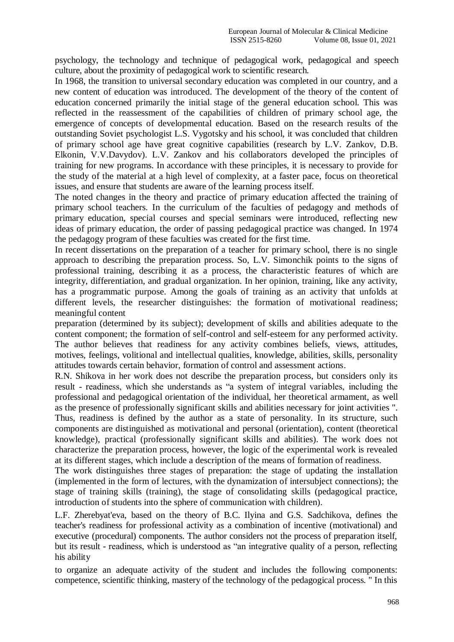psychology, the technology and technique of pedagogical work, pedagogical and speech culture, about the proximity of pedagogical work to scientific research.

In 1968, the transition to universal secondary education was completed in our country, and a new content of education was introduced. The development of the theory of the content of education concerned primarily the initial stage of the general education school. This was reflected in the reassessment of the capabilities of children of primary school age, the emergence of concepts of developmental education. Based on the research results of the outstanding Soviet psychologist L.S. Vygotsky and his school, it was concluded that children of primary school age have great cognitive capabilities (research by L.V. Zankov, D.B. Elkonin, V.V.Davydov). L.V. Zankov and his collaborators developed the principles of training for new programs. In accordance with these principles, it is necessary to provide for the study of the material at a high level of complexity, at a faster pace, focus on theoretical issues, and ensure that students are aware of the learning process itself.

The noted changes in the theory and practice of primary education affected the training of primary school teachers. In the curriculum of the faculties of pedagogy and methods of primary education, special courses and special seminars were introduced, reflecting new ideas of primary education, the order of passing pedagogical practice was changed. In 1974 the pedagogy program of these faculties was created for the first time.

In recent dissertations on the preparation of a teacher for primary school, there is no single approach to describing the preparation process. So, L.V. Simonchik points to the signs of professional training, describing it as a process, the characteristic features of which are integrity, differentiation, and gradual organization. In her opinion, training, like any activity, has a programmatic purpose. Among the goals of training as an activity that unfolds at different levels, the researcher distinguishes: the formation of motivational readiness; meaningful content

preparation (determined by its subject); development of skills and abilities adequate to the content component; the formation of self-control and self-esteem for any performed activity. The author believes that readiness for any activity combines beliefs, views, attitudes, motives, feelings, volitional and intellectual qualities, knowledge, abilities, skills, personality attitudes towards certain behavior, formation of control and assessment actions.

R.N. Shikova in her work does not describe the preparation process, but considers only its result - readiness, which she understands as "a system of integral variables, including the professional and pedagogical orientation of the individual, her theoretical armament, as well as the presence of professionally significant skills and abilities necessary for joint activities ". Thus, readiness is defined by the author as a state of personality. In its structure, such components are distinguished as motivational and personal (orientation), content (theoretical knowledge), practical (professionally significant skills and abilities). The work does not characterize the preparation process, however, the logic of the experimental work is revealed at its different stages, which include a description of the means of formation of readiness.

The work distinguishes three stages of preparation: the stage of updating the installation (implemented in the form of lectures, with the dynamization of intersubject connections); the stage of training skills (training), the stage of consolidating skills (pedagogical practice, introduction of students into the sphere of communication with children).

L.F. Zherebyat'eva, based on the theory of B.C. Ilyina and G.S. Sadchikova, defines the teacher's readiness for professional activity as a combination of incentive (motivational) and executive (procedural) components. The author considers not the process of preparation itself, but its result - readiness, which is understood as "an integrative quality of a person, reflecting his ability

to organize an adequate activity of the student and includes the following components: competence, scientific thinking, mastery of the technology of the pedagogical process. " In this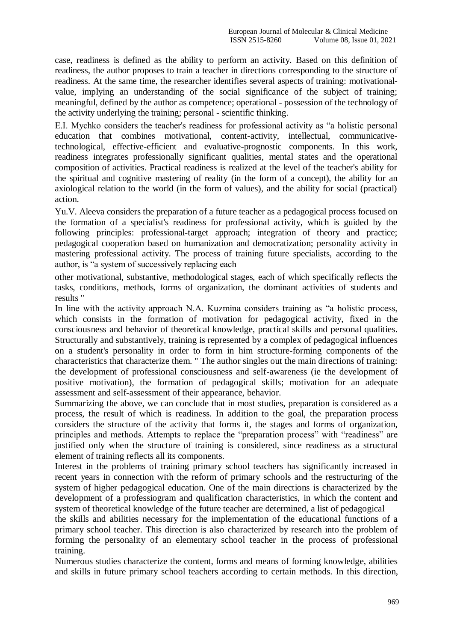case, readiness is defined as the ability to perform an activity. Based on this definition of readiness, the author proposes to train a teacher in directions corresponding to the structure of readiness. At the same time, the researcher identifies several aspects of training: motivationalvalue, implying an understanding of the social significance of the subject of training; meaningful, defined by the author as competence; operational - possession of the technology of the activity underlying the training; personal - scientific thinking.

E.I. Mychko considers the teacher's readiness for professional activity as "a holistic personal education that combines motivational, content-activity, intellectual, communicativetechnological, effective-efficient and evaluative-prognostic components. In this work, readiness integrates professionally significant qualities, mental states and the operational composition of activities. Practical readiness is realized at the level of the teacher's ability for the spiritual and cognitive mastering of reality (in the form of a concept), the ability for an axiological relation to the world (in the form of values), and the ability for social (practical) action.

Yu.V. Aleeva considers the preparation of a future teacher as a pedagogical process focused on the formation of a specialist's readiness for professional activity, which is guided by the following principles: professional-target approach; integration of theory and practice; pedagogical cooperation based on humanization and democratization; personality activity in mastering professional activity. The process of training future specialists, according to the author, is "a system of successively replacing each

other motivational, substantive, methodological stages, each of which specifically reflects the tasks, conditions, methods, forms of organization, the dominant activities of students and results "

In line with the activity approach N.A. Kuzmina considers training as "a holistic process, which consists in the formation of motivation for pedagogical activity, fixed in the consciousness and behavior of theoretical knowledge, practical skills and personal qualities. Structurally and substantively, training is represented by a complex of pedagogical influences on a student's personality in order to form in him structure-forming components of the characteristics that characterize them. " The author singles out the main directions of training: the development of professional consciousness and self-awareness (ie the development of positive motivation), the formation of pedagogical skills; motivation for an adequate assessment and self-assessment of their appearance, behavior.

Summarizing the above, we can conclude that in most studies, preparation is considered as a process, the result of which is readiness. In addition to the goal, the preparation process considers the structure of the activity that forms it, the stages and forms of organization, principles and methods. Attempts to replace the "preparation process" with "readiness" are justified only when the structure of training is considered, since readiness as a structural element of training reflects all its components.

Interest in the problems of training primary school teachers has significantly increased in recent years in connection with the reform of primary schools and the restructuring of the system of higher pedagogical education. One of the main directions is characterized by the development of a professiogram and qualification characteristics, in which the content and system of theoretical knowledge of the future teacher are determined, a list of pedagogical

the skills and abilities necessary for the implementation of the educational functions of a primary school teacher. This direction is also characterized by research into the problem of forming the personality of an elementary school teacher in the process of professional training.

Numerous studies characterize the content, forms and means of forming knowledge, abilities and skills in future primary school teachers according to certain methods. In this direction,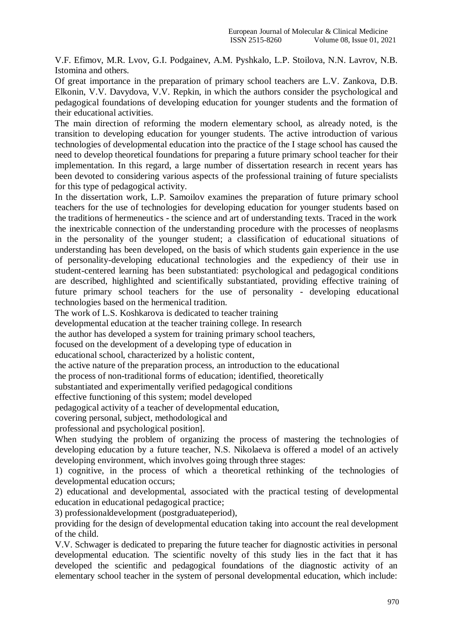V.F. Efimov, M.R. Lvov, G.I. Podgainev, A.M. Pyshkalo, L.P. Stoilova, N.N. Lavrov, N.B. Istomina and others.

Of great importance in the preparation of primary school teachers are L.V. Zankova, D.B. Elkonin, V.V. Davydova, V.V. Repkin, in which the authors consider the psychological and pedagogical foundations of developing education for younger students and the formation of their educational activities.

The main direction of reforming the modern elementary school, as already noted, is the transition to developing education for younger students. The active introduction of various technologies of developmental education into the practice of the I stage school has caused the need to develop theoretical foundations for preparing a future primary school teacher for their implementation. In this regard, a large number of dissertation research in recent years has been devoted to considering various aspects of the professional training of future specialists for this type of pedagogical activity.

In the dissertation work, L.P. Samoilov examines the preparation of future primary school teachers for the use of technologies for developing education for younger students based on the traditions of hermeneutics - the science and art of understanding texts. Traced in the work the inextricable connection of the understanding procedure with the processes of neoplasms in the personality of the younger student; a classification of educational situations of understanding has been developed, on the basis of which students gain experience in the use of personality-developing educational technologies and the expediency of their use in student-centered learning has been substantiated: psychological and pedagogical conditions are described, highlighted and scientifically substantiated, providing effective training of future primary school teachers for the use of personality - developing educational technologies based on the hermenical tradition.

The work of L.S. Koshkarova is dedicated to teacher training

developmental education at the teacher training college. In research

the author has developed a system for training primary school teachers,

focused on the development of a developing type of education in

educational school, characterized by a holistic content,

the active nature of the preparation process, an introduction to the educational

the process of non-traditional forms of education; identified, theoretically

substantiated and experimentally verified pedagogical conditions

effective functioning of this system; model developed

pedagogical activity of a teacher of developmental education,

covering personal, subject, methodological and

professional and psychological position].

When studying the problem of organizing the process of mastering the technologies of developing education by a future teacher, N.S. Nikolaeva is offered a model of an actively developing environment, which involves going through three stages:

1) cognitive, in the process of which a theoretical rethinking of the technologies of developmental education occurs;

2) educational and developmental, associated with the practical testing of developmental education in educational pedagogical practice;

3) professionaldevelopment (postgraduateperiod),

providing for the design of developmental education taking into account the real development of the child.

V.V. Schwager is dedicated to preparing the future teacher for diagnostic activities in personal developmental education. The scientific novelty of this study lies in the fact that it has developed the scientific and pedagogical foundations of the diagnostic activity of an elementary school teacher in the system of personal developmental education, which include: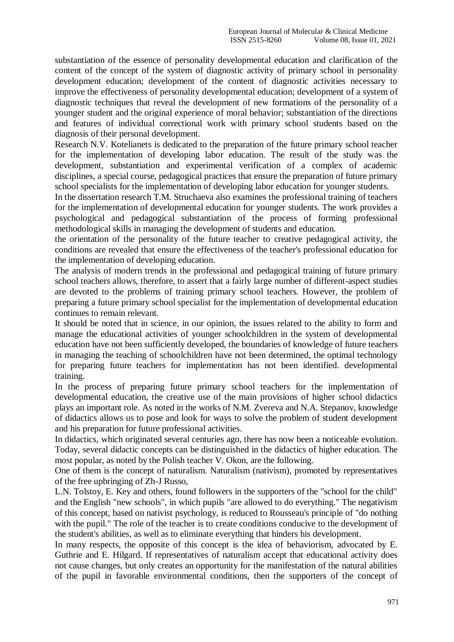substantiation of the essence of personality developmental education and clarification of the content of the concept of the system of diagnostic activity of primary school in personality development education; development of the content of diagnostic activities necessary to improve the effectiveness of personality developmental education; development of a system of diagnostic techniques that reveal the development of new formations of the personality of a younger student and the original experience of moral behavior; substantiation of the directions and features of individual correctional work with primary school students based on the diagnosis of their personal development.

Research N.V. Kotelianets is dedicated to the preparation of the future primary school teacher for the implementation of developing labor education. The result of the study was the development, substantiation and experimental verification of a complex of academic disciplines, a special course, pedagogical practices that ensure the preparation of future primary school specialists for the implementation of developing labor education for younger students.

In the dissertation research T.M. Struchaeva also examines the professional training of teachers for the implementation of developmental education for younger students. The work provides a psychological and pedagogical substantiation of the process of forming professional methodological skills in managing the development of students and education.

the orientation of the personality of the future teacher to creative pedagogical activity, the conditions are revealed that ensure the effectiveness of the teacher's professional education for the implementation of developing education.

The analysis of modern trends in the professional and pedagogical training of future primary school teachers allows, therefore, to assert that a fairly large number of different-aspect studies are devoted to the problems of training primary school teachers. However, the problem of preparing a future primary school specialist for the implementation of developmental education continues to remain relevant.

It should be noted that in science, in our opinion, the issues related to the ability to form and manage the educational activities of younger schoolchildren in the system of developmental education have not been sufficiently developed, the boundaries of knowledge of future teachers in managing the teaching of schoolchildren have not been determined, the optimal technology for preparing future teachers for implementation has not been identified. developmental training.

In the process of preparing future primary school teachers for the implementation of developmental education, the creative use of the main provisions of higher school didactics plays an important role. As noted in the works of N.M. Zvereva and N.A. Stepanov, knowledge of didactics allows us to pose and look for ways to solve the problem of student development and his preparation for future professional activities.

In didactics, which originated several centuries ago, there has now been a noticeable evolution. Today, several didactic concepts can be distinguished in the didactics of higher education. The most popular, as noted by the Polish teacher V. Okon, are the following.

One of them is the concept of naturalism. Naturalism (nativism), promoted by representatives of the free upbringing of Zh-J Russo,

L.N. Tolstoy, E. Key and others, found followers in the supporters of the "school for the child" and the English "new schools", in which pupils "are allowed to do everything." The negativism of this concept, based on nativist psychology, is reduced to Rousseau's principle of "do nothing with the pupil." The role of the teacher is to create conditions conducive to the development of the student's abilities, as well as to eliminate everything that hinders his development.

In many respects, the opposite of this concept is the idea of behaviorism, advocated by E. Guthrie and E. Hilgard. If representatives of naturalism accept that educational activity does not cause changes, but only creates an opportunity for the manifestation of the natural abilities of the pupil in favorable environmental conditions, then the supporters of the concept of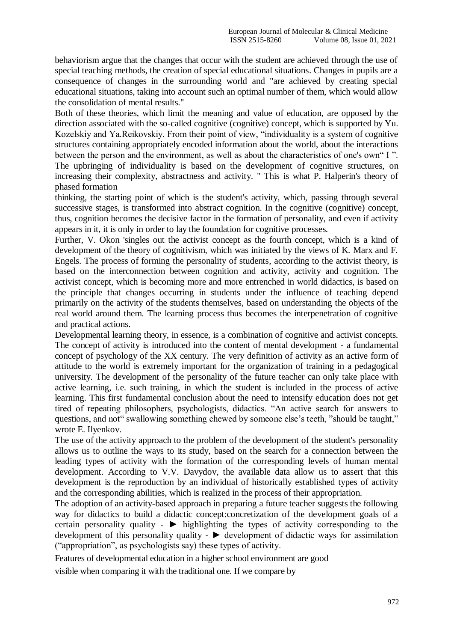behaviorism argue that the changes that occur with the student are achieved through the use of special teaching methods, the creation of special educational situations. Changes in pupils are a consequence of changes in the surrounding world and "are achieved by creating special educational situations, taking into account such an optimal number of them, which would allow the consolidation of mental results."

Both of these theories, which limit the meaning and value of education, are opposed by the direction associated with the so-called cognitive (cognitive) concept, which is supported by Yu. Kozelskiy and Ya.Reikovskiy. From their point of view, "individuality is a system of cognitive structures containing appropriately encoded information about the world, about the interactions between the person and the environment, as well as about the characteristics of one's own" I ". The upbringing of individuality is based on the development of cognitive structures, on increasing their complexity, abstractness and activity. " This is what P. Halperin's theory of phased formation

thinking, the starting point of which is the student's activity, which, passing through several successive stages, is transformed into abstract cognition. In the cognitive (cognitive) concept, thus, cognition becomes the decisive factor in the formation of personality, and even if activity appears in it, it is only in order to lay the foundation for cognitive processes.

Further, V. Okon 'singles out the activist concept as the fourth concept, which is a kind of development of the theory of cognitivism, which was initiated by the views of K. Marx and F. Engels. The process of forming the personality of students, according to the activist theory, is based on the interconnection between cognition and activity, activity and cognition. The activist concept, which is becoming more and more entrenched in world didactics, is based on the principle that changes occurring in students under the influence of teaching depend primarily on the activity of the students themselves, based on understanding the objects of the real world around them. The learning process thus becomes the interpenetration of cognitive and practical actions.

Developmental learning theory, in essence, is a combination of cognitive and activist concepts. The concept of activity is introduced into the content of mental development - a fundamental concept of psychology of the XX century. The very definition of activity as an active form of attitude to the world is extremely important for the organization of training in a pedagogical university. The development of the personality of the future teacher can only take place with active learning, i.e. such training, in which the student is included in the process of active learning. This first fundamental conclusion about the need to intensify education does not get tired of repeating philosophers, psychologists, didactics. "An active search for answers to questions, and not" swallowing something chewed by someone else's teeth, "should be taught," wrote E. Ilyenkov.

The use of the activity approach to the problem of the development of the student's personality allows us to outline the ways to its study, based on the search for a connection between the leading types of activity with the formation of the corresponding levels of human mental development. According to V.V. Davydov, the available data allow us to assert that this development is the reproduction by an individual of historically established types of activity and the corresponding abilities, which is realized in the process of their appropriation.

The adoption of an activity-based approach in preparing a future teacher suggests the following way for didactics to build a didactic concept:concretization of the development goals of a certain personality quality -  $\blacktriangleright$  highlighting the types of activity corresponding to the development of this personality quality - ► development of didactic ways for assimilation ("appropriation", as psychologists say) these types of activity.

Features of developmental education in a higher school environment are good

visible when comparing it with the traditional one. If we compare by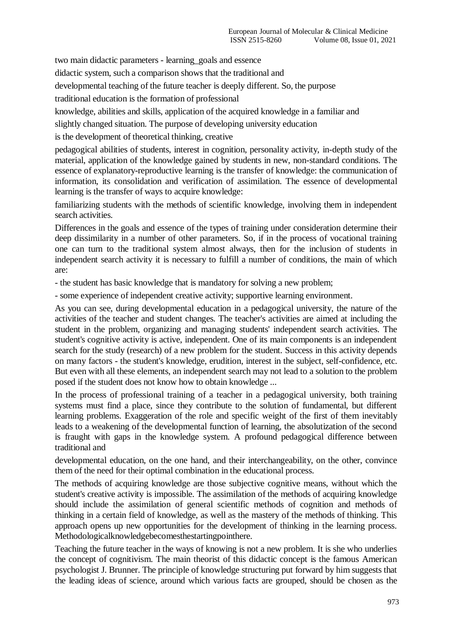two main didactic parameters - learning\_goals and essence

didactic system, such a comparison shows that the traditional and

developmental teaching of the future teacher is deeply different. So, the purpose

traditional education is the formation of professional

knowledge, abilities and skills, application of the acquired knowledge in a familiar and

slightly changed situation. The purpose of developing university education

is the development of theoretical thinking, creative

pedagogical abilities of students, interest in cognition, personality activity, in-depth study of the material, application of the knowledge gained by students in new, non-standard conditions. The essence of explanatory-reproductive learning is the transfer of knowledge: the communication of information, its consolidation and verification of assimilation. The essence of developmental learning is the transfer of ways to acquire knowledge:

familiarizing students with the methods of scientific knowledge, involving them in independent search activities.

Differences in the goals and essence of the types of training under consideration determine their deep dissimilarity in a number of other parameters. So, if in the process of vocational training one can turn to the traditional system almost always, then for the inclusion of students in independent search activity it is necessary to fulfill a number of conditions, the main of which are:

- the student has basic knowledge that is mandatory for solving a new problem;

- some experience of independent creative activity; supportive learning environment.

As you can see, during developmental education in a pedagogical university, the nature of the activities of the teacher and student changes. The teacher's activities are aimed at including the student in the problem, organizing and managing students' independent search activities. The student's cognitive activity is active, independent. One of its main components is an independent search for the study (research) of a new problem for the student. Success in this activity depends on many factors - the student's knowledge, erudition, interest in the subject, self-confidence, etc. But even with all these elements, an independent search may not lead to a solution to the problem posed if the student does not know how to obtain knowledge ...

In the process of professional training of a teacher in a pedagogical university, both training systems must find a place, since they contribute to the solution of fundamental, but different learning problems. Exaggeration of the role and specific weight of the first of them inevitably leads to a weakening of the developmental function of learning, the absolutization of the second is fraught with gaps in the knowledge system. A profound pedagogical difference between traditional and

developmental education, on the one hand, and their interchangeability, on the other, convince them of the need for their optimal combination in the educational process.

The methods of acquiring knowledge are those subjective cognitive means, without which the student's creative activity is impossible. The assimilation of the methods of acquiring knowledge should include the assimilation of general scientific methods of cognition and methods of thinking in a certain field of knowledge, as well as the mastery of the methods of thinking. This approach opens up new opportunities for the development of thinking in the learning process. Methodologicalknowledgebecomesthestartingpointhere.

Teaching the future teacher in the ways of knowing is not a new problem. It is she who underlies the concept of cognitivism. The main theorist of this didactic concept is the famous American psychologist J. Brunner. The principle of knowledge structuring put forward by him suggests that the leading ideas of science, around which various facts are grouped, should be chosen as the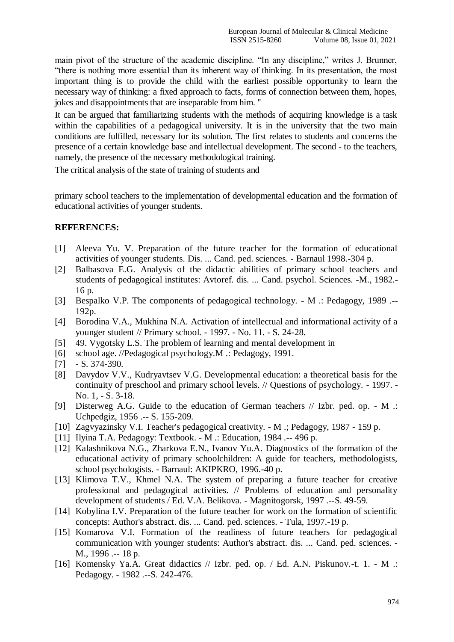main pivot of the structure of the academic discipline. "In any discipline," writes J. Brunner, "there is nothing more essential than its inherent way of thinking. In its presentation, the most important thing is to provide the child with the earliest possible opportunity to learn the necessary way of thinking: a fixed approach to facts, forms of connection between them, hopes, jokes and disappointments that are inseparable from him. "

It can be argued that familiarizing students with the methods of acquiring knowledge is a task within the capabilities of a pedagogical university. It is in the university that the two main conditions are fulfilled, necessary for its solution. The first relates to students and concerns the presence of a certain knowledge base and intellectual development. The second - to the teachers, namely, the presence of the necessary methodological training.

The critical analysis of the state of training of students and

primary school teachers to the implementation of developmental education and the formation of educational activities of younger students.

## **REFERENCES:**

- [1] Aleeva Yu. V. Preparation of the future teacher for the formation of educational activities of younger students. Dis. ... Cand. ped. sciences. - Barnaul 1998.-304 p.
- [2] Balbasova E.G. Analysis of the didactic abilities of primary school teachers and students of pedagogical institutes: Avtoref. dis. ... Cand. psychol. Sciences. -M., 1982.- 16 p.
- [3] Bespalko V.P. The components of pedagogical technology. M .: Pedagogy, 1989 .-- 192p.
- [4] Borodina V.A., Mukhina N.A. Activation of intellectual and informational activity of a younger student // Primary school. - 1997. - No. 11. - S. 24-28.
- [5] 49. Vygotsky L.S. The problem of learning and mental development in
- [6] school age. //Pedagogical psychology.M .: Pedagogy, 1991.
- $[7]$  S. 374-390.
- [8] Davydov V.V., Kudryavtsev V.G. Developmental education: a theoretical basis for the continuity of preschool and primary school levels. // Questions of psychology. - 1997. - No. 1, - S. 3-18.
- [9] Disterweg A.G. Guide to the education of German teachers // Izbr. ped. op. M .: Uchpedgiz, 1956 .-- S. 155-209.
- [10] Zagvyazinsky V.I. Teacher's pedagogical creativity. M .; Pedagogy, 1987 159 p.
- [11] Ilyina T.A. Pedagogy: Textbook. M .: Education, 1984 .-- 496 p.
- [12] Kalashnikova N.G., Zharkova E.N., Ivanov Yu.A. Diagnostics of the formation of the educational activity of primary schoolchildren: A guide for teachers, methodologists, school psychologists. - Barnaul: AKIPKRO, 1996.-40 p.
- [13] Klimova T.V., Khmel N.A. The system of preparing a future teacher for creative professional and pedagogical activities. // Problems of education and personality development of students / Ed. V.A. Belikova. - Magnitogorsk, 1997 .--S. 49-59.
- [14] Kobylina I.V. Preparation of the future teacher for work on the formation of scientific concepts: Author's abstract. dis. ... Cand. ped. sciences. - Tula, 1997.-19 p.
- [15] Komarova V.I. Formation of the readiness of future teachers for pedagogical communication with younger students: Author's abstract. dis. ... Cand. ped. sciences. - M., 1996 .-- 18 p.
- [16] Komensky Ya.A. Great didactics // Izbr. ped. op. / Ed. A.N. Piskunov.-t. 1. M .: Pedagogy. - 1982 .--S. 242-476.